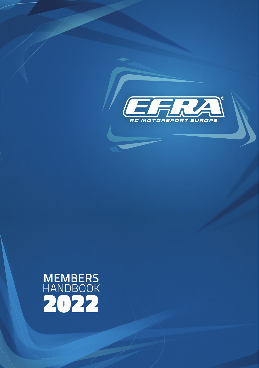

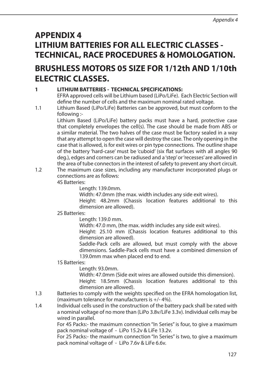# **APPENDIX 4 LITHIUM BATTERIES FOR ALL ELECTRIC CLASSES - TECHNICAL, RACE PROCEDURES & HOMOLOGATION.**

# **BRUSHLESS MOTORS 05 SIZE FOR 1/12th AND 1/10th ELECTRIC CLASSES.**

# **1 LITHIUM BATTERIES - TECHNICAL SPECIFICATIONS:**

 EFRA approved cells will be Lithium based (LiPo/LiFe). Each Electric Section will define the number of cells and the maximum nominal rated voltage.

1.1 Lithium Based (LiPo/LiFe) Batteries can be approved, but must conform to the following :-

 Lithium Based (LiPo/LiFe) battery packs must have a hard, protective case that completely envelopes the cell(s). The case should be made from ABS or a similar material. The two halves of the case must be factory sealed in a way that any attempt to open the case will destroy the case. The only opening in the case that is allowed, is for exit wires or pin type connections. The outline shape of the battery 'hard-case' must be 'cuboid' (six flat surfaces with all angles 90 deg.), edges and corners can be radiused and a 'step' or 'recesses' are allowed in the area of tube connectors in the interest of safety to prevent any short circuit.

1.2 The maximum case sizes, including any manufacturer incorporated plugs or connections are as follows: 4S Batteries:

Length: 139.0mm.

Width: 47.0mm (the max. width includes any side exit wires).

 Height: 48.2mm (Chassis location features additional to this dimension are allowed).

### 2S Batteries:

Length: 139.0 mm.

Width: 47.0 mm, (the max. width includes any side exit wires).

 Height: 25.10 mm (Chassis location features additional to this dimension are allowed).

 Saddle-Pack cells are allowed, but must comply with the above dimensions. Saddle-Pack cells must have a combined dimension of 139.0mm max when placed end to end.

### 1S Batteries:

Length: 93.0mm.

 Width: 47.0mm (Side exit wires are allowed outside this dimension). Height: 18.5mm (Chassis location features additional to this dimension are allowed).

- 1.3 Batteries to comply with the weights specified on the EFRA homologation list, (maximum tolerance for manufacturers is +/- 4%).
- 1.4 Individual cells used in the construction of the battery pack shall be rated with a nominal voltage of no more than (LiPo 3.8v/LiFe 3.3v). Individual cells may be wired in parallel.

 For 4S Packs:- the maximum connection "In Series" is four, to give a maximum pack nominal voltage of - LiPo 15.2v & LiFe 13.2v.

 For 2S Packs:- the maximum connection "In Series" is two, to give a maximum pack nominal voltage of - LiPo 7.6v & LiFe 6.6v.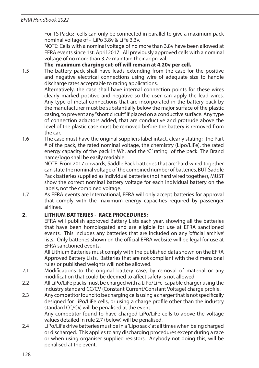#### *EFRA Handbook 2022*

 For 1S Packs:- cells can only be connected in parallel to give a maximum pack nominal voltage of - LiPo 3.8v & LiFe 3.3v.

 NOTE: Cells with a nominal voltage of no more than 3.8v have been allowed at EFRA events since 1st. April 2017. All previously approved cells with a nominal voltage of no more than 3.7v maintain their approval.

#### **The maximum charging cut-off will remain at 4.20v per cell.**

1.5 The battery pack shall have leads extending from the case for the positive and negative electrical connections using wire of adequate size to handle discharge rates acceptable to racing applications.

 Alternatively, the case shall have internal connection points for these wires clearly marked positive and negative so the user can apply the lead wires. Any type of metal connections that are incorporated in the battery pack by the manufacturer must be substantially below the major surface of the plastic casing, to prevent any "short circuit" if placed on a conductive surface. Any type of connection adaptors added, that are conductive and protrude above the level of the plastic case must be removed before the battery is removed from the car.

1.6 The case must have the original suppliers label intact, clearly stating:- the Part # of the pack, the rated nominal voltage, the chemistry (Lipo/LiFe), the rated energy capacity of the pack in Wh. and the 'C' rating of the pack. The Brand name/logo shall be easily readable.

 NOTE: From 2017 onwards; Saddle Pack batteries that are 'hard wired together can state the nominal voltage of the combined number of batteries, BUT Saddle Pack batteries supplied as individual batteries (not hard wired together), MUST show the correct nominal battery voltage for each individual battery on the labels, not the combined voltage.

1.7 As EFRA events are International, EFRA will only accept batteries for approval that comply with the maximum energy capacities required by passenger airlines.

### **2. LITHIUM BATTERIES - RACE PROCEDURES:**

 EFRA will publish approved Battery Lists each year, showing all the batteries that have been homologated and are eligible for use at EFRA sanctioned events. This includes any batteries that are included on any 'official archive' lists. Only batteries shown on the official EFRA website will be legal for use at EFRA sanctioned events.

 All Lithium Batteries must comply with the published data shown on the EFRA Approved Battery Lists. Batteries that are not compliant with the dimensional rules or published weights will not be allowed.

- 2.1 Modifications to the original battery case, by removal of material or any modification that could be deemed to affect safety is not allowed.
- 2.2 All LiPo/LiFe packs must be charged with a LiPo/LiFe-capable charger using the industry standard CC/CV (Constant Current/Constant Voltage) charge profile.
- 2.3 Any competitor found to be charging cells using a charger that is not specifically designed for LiPo/LiFe cells, or using a charge profile other than the industry standard CC/CV, will be penalised at the event.

 Any competitor found to have charged LiPo/LiFe cells to above the voltage values detailed in rule 2.7 (below) will be penalised.

2.4 LiPo/LiFe drive batteries must be in a 'Lipo sack' at all times when being charged or discharged. This applies to any discharging procedures except during a race or when using organiser supplied resistors. Anybody not doing this, will be penalised at the event.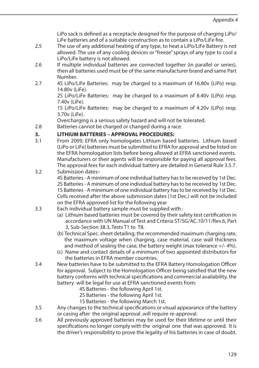LiPo sack is defined as a receptacle designed for the purpose of charging LiPo/ LiFe batteries and of a suitable construction as to contain a LiPo/LiFe fire.

- 2.5 The use of any additional heating of any type, to heat a LiPo/LiFe Battery is not allowed. The use of any cooling devices or "freeze" sprays of any type to cool a LiPo/LiFe battery is not allowed.
- 2.6 If multiple individual batteries are connected together (in parallel or series). then all batteries used must be of the same manufacturer brand and same Part Number.
- 2.7 4S LiPo/LiFe Batteries: may be charged to a maximum of 16.80v (LiPo) resp. 14.80v (LiFe).

 2S LiPo/LiFe Batteries: may be charged to a maximum of 8.40v (LiPo) resp. 7.40v (LiFe).

 1S LiPo/LiFe Batteries: may be charged to a maximum of 4.20v (LiPo) resp. 3.70v (LiFe).

Overcharging is a serious safety hazard and will not be tolerated.

2.8 Batteries cannot be charged or changed during a race.

# **3. LITHIUM BATTERIES – APPROVAL PROCEDURES:**

- 3.1 From 2009, EFRA only homologates Lithium based batteries. Lithium based (LiPo or LiFe) batteries must be submitted to EFRA for approval and be listed on the EFRA homologation lists before being allowed at EFRA sanctioned events. Manufacturers or their agents will be responsible for paying all approval fees. The approval fees for each individual battery are detailed in General Rule 3.5.7.
- 3.2 Submission dates:-

 4S Batteries - A minimum of one individual battery has to be received by 1st Dec. 2S Batteries - A minimum of one individual battery has to be received by 1st Dec. 1S Batteries - A minimum of one individual battery has to be received by 1st Dec. Cells received after the above submission dates (1st Dec.) will not be included on the EFRA approved list for the following year

- 3.3 Each individual battery sample must be supplied with :
	- (a) Lithium based batteries must be covered by their safety test certification in accordance with UN Manual of Test and Criteria ST/SG/AC.10/11/Rev.6, Part 3, Sub-Section 38.3, Tests T1 to T8.
	- (b) Technical Spec. sheet detailing; the recommended maximum charging rate, the maximum voltage when charging, case material, case wall thickness and method of sealing the case, the battery weight (max tolerance +/- 4%).
	- (c) Name and contact details of a minimum of two appointed distributors for the batteries in EFRA member countries.
- 3.4 New batteries have to be submitted to the EFRA Battery Homologation Officer for approval. Subject to the Homologation Officer being satisfied that the new battery conforms with technical specifications and commercial availability, the battery will be legal for use at EFRA sanctioned events from:
	- 4S Batteries the following April 1st.
	- 2S Batteries the following April 1st.
	- 1S Batteries the following March 1st.
- 3.5 Any changes to the technical specifications or visual appearance of the battery or casing after the original approval ,will require re-approval.
- 3.6 All previously approved batteries may be used for their lifetime or until their specifications no longer comply with the original one that was approved. It is the driver's responsibility to prove the legality of his batteries in case of doubt.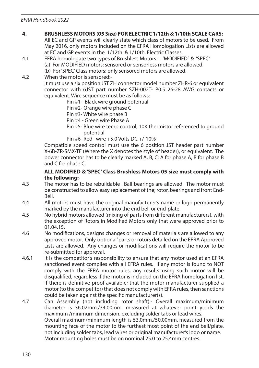## **4. BRUSHLESS MOTORS (05 Size) FOR ELECTRIC 1/12th & 1/10th SCALE CARS:**

 All EC and GP events will clearly state which class of motors to be used. From May 2016, only motors included on the EFRA Homologation Lists are allowed at EC and GP events in the 1/12th. & 1/10th. Electric Classes.

4.1 EFRA homologate two types of Brushless Motors -- 'MODIFIED' & 'SPEC.' (a) For MODIFIED motors: sensored or sensorless motors are allowed.

(b) For 'SPEC' Class motors: only sensored motors are allowed.<br>4.2 When the motor is sensored:-

When the motor is sensored:-

 It must use a six position JST ZH connector model number ZHR-6 or equivalent connector with 6JST part number SZH-002T- P0.5 26-28 AWG contacts or equivalent. Wire sequence must be as follows:

Pin #1 - Black wire ground potential

Pin #2- Orange wire phase C

- Pin #3- White wire phase B
- Pin #4 Green wire Phase A
- Pin #5- Blue wire temp control, 10K thermistor referenced to ground potential

Pin #6- Red wire  $+5.0$  Volts DC  $+/-10\%$ 

 Compatible speed control must use the 6 position JST header part number X-6B-ZR-SMX-TF (Where the X denotes the style of header), or equivalent. The power connector has to be clearly marked A, B, C: A for phase A, B for phase B and C for phase C.

#### **ALL MODIFIED & 'SPEC' Class Brushless Motors 05 size must comply with the following:-**

- 4.3 The motor has to be rebuildable . Ball bearings are allowed. The motor must be constructed to allow easy replacement of the; rotor, bearings and front End-Bell.
- 4.4 All motors must have the original manufacturer's name or logo permanently marked by the manufacturer into the end bell or end-plate.
- 4.5 No hybrid motors allowed (mixing of parts from different manufacturers), with the exception of Rotors in Modified Motors only that were approved prior to 01.04.15.
- 4.6 No modifications, designs changes or removal of materials are allowed to any approved motor. Only 'optional' parts or rotors detailed on the EFRA Approved Lists are allowed. Any changes or modifications will require the motor to be re-submitted for approval.
- 4.6.1 It is the competitor's responsibility to ensure that any motor used at an EFRA sanctioned event complies with all EFRA rules. If any motor is found to NOT comply with the EFRA motor rules, any results using such motor will be disqualified, regardless if the motor is included on the EFRA homologation list. If there is definitive proof available; that the motor manufacturer supplied a motor (to the competitor) that does not comply with EFRA rules, then sanctions could be taken against the specific manufacturer(s).
- 4.7 Can Assembly (not including rotor shaft):- Overall maximum/minimum diameter is 36.02mm./34.00mm. measured at whatever point yields the maximum /minimum dimension, excluding solder tabs or lead wires. Overall maximum/minimum length is 53.0mm./50.00mm. measured from the mounting face of the motor to the furthest most point of the end bell/plate, not including solder tabs, lead wires or original manufacturer's logo or name. Motor mounting holes must be on nominal 25.0 to 25.4mm centres.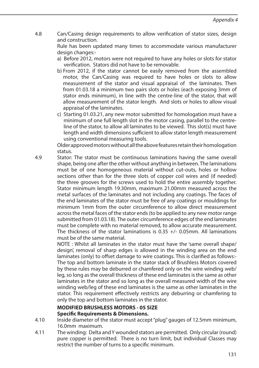4.8 Can/Casing design requirements to allow verification of stator sizes, design and construction.

 Rule has been updated many times to accommodate various manufacturer design changes:-

- a) Before 2012, motors were not required to have any holes or slots for stator verification. Stators did not have to be removable.
- b) From 2012, if the stator cannot be easily removed from the assembled motor, the Can/Casing was required to have holes or slots to allow measurement of the stator and visual appraisal of the laminates. Then from 01.03.18 a minimum two pairs slots or holes (each exposing 3mm of stator ends minimum), in line with the centre-line of the stator, that will allow measurement of the stator length. And slots or holes to allow visual appraisal of the laminates.
- c) Starting 01.03.21, any new motor submitted for homologation must have a minimum of one full length slot in the motor casing, parallel to the centreline of the stator, to allow all laminates to be viewed. This slot(s) must have length and width dimensions sufficient to allow stator length measurement using conventional measuring tools.

 Older approved motors without all the above features retain their homologation status.

4.9 Stator: The stator must be continuous laminations having the same overall shape, being one after the other without anything in between. The laminations must be of one homogeneous material without cut-outs, holes or hollow sections other than for the three slots of copper coil wires and (if needed) the three grooves for the screws used to hold the entire assembly together. Stator minimum length 19.30mm, maximum 21.00mm measured across the metal surfaces of the laminates and not including any coatings. The faces of the end laminates of the stator must be free of any coatings or mouldings for minimum 1mm from the outer circumference to allow direct measurement across the metal faces of the stator ends (to be applied to any new motor range submitted from 01.03.18). The outer circumference edges of the end laminates must be complete with no material removed, to allow accurate measurement. The thickness of the stator laminations is 0.35 +/- 0.05mm. All laminations must be of the same material.

 NOTE : Whilst all laminates in the stator must have the 'same overall shape/ design', removal of sharp edges is allowed in the winding area on the end laminates (only) to offset damage to wire coatings. This is clarified as follows:- The top and bottom laminate in the stator stack of Brushless Motors covered by these rules may be deburred or chamfered only on the wire winding web/ leg, so long as the overall thickness of these end laminates is the same as other laminates in the stator and so long as the overall measured width of the wire winding web/leg of these end laminates is the same as other laminates in the stator. This requirement effectively restricts any deburring or chamfering to only the top and bottom laminates in the stator.

### **MODIFIED BRUSHLESS MOTORS - 05 SIZE Specific Requirements & Dimensions.**

- 4.10 Inside diameter of the stator must accept "plug" gauges of 12.5mm minimum, 16.0mm maximum.
- 4.11 The winding: Delta and Y wounded stators are permitted. Only circular (round) pure copper is permitted. There is no turn limit, but individual Classes may restrict the number of turns to a specific minimum.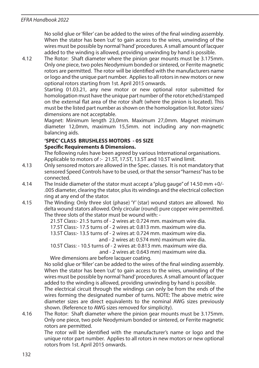No solid glue or 'filler' can be added to the wires of the final winding assembly. When the stator has been 'cut' to gain access to the wires, unwinding of the wires must be possible by normal 'hand' procedures. A small amount of lacquer added to the winding is allowed, providing unwinding by hand is possible.

4.12 The Rotor: Shaft diameter where the pinion gear mounts must be 3.175mm. Only one piece, two poles Neodymium bonded or sintered, or Ferrite magnetic rotors are permitted. The rotor will be identified with the manufacturers name or logo and the unique part number. Applies to all rotors in new motors or new optional rotors starting from 1st. April 2015 onwards.

 Starting 01.03.21, any new motor or new optional rotor submitted for homologation must have the unique part number of the rotor etched/stamped on the external flat area of the rotor shaft (where the pinion is located). This must be the listed part number as shown on the homologation list. Rotor sizes/ dimensions are not acceptable.

 Magnet: Minimum length 23,0mm. Maximum 27,0mm. Magnet minimum diameter 12,0mm, maximum 15,5mm. not including any non-magnetic balancing aids.

#### **'SPEC' CLASS BRUSHLESS MOTORS - 05 SIZE Specific Requirements & Dimensions.**

The following rules have been agreed by various International organisations. Applicable to motors of :- 21.5T, 17.5T, 13.5T and 10.5T wind limit.

- 4.13 Only sensored motors are allowed in the Spec. classes. It is not mandatory that sensored Speed Controls have to be used, or that the sensor "harness" has to be connected.
- 4.14 The Inside diameter of the stator must accept a "plug gauge" of 14.50 mm +0/- .005 diameter, clearing the stator, plus its windings and the electrical collection ring at any end of the stator.
- 4.15 The Winding: Only three slot (phase) 'Y' (star) wound stators are allowed. No delta wound stators allowed. Only circular (round) pure copper wire permitted. The three slots of the stator must be wound with: -

21.5T Class:- 21.5 turns of - 2 wires at: 0.724 mm. maximum wire dia.

17.5T Class:- 17.5 turns of - 2 wires at: 0.813 mm. maximum wire dia.

 13.5T Class:- 13.5 turns of - 2 wires at: 0.724 mm. maximum wire dia. and - 2 wires at: 0.574 mm) maximum wire dia.

10.5T Class: - 10.5 turns of - 2 wires at: 0.813 mm. maximum wire dia.

and - 2 wires at: 0.643 mm) maximum wire dia.

Wire dimensions are before lacquer coating.

 No solid glue or 'filler' can be added to the wires of the final winding assembly. When the stator has been 'cut' to gain access to the wires, unwinding of the wires must be possible by normal 'hand' procedures. A small amount of lacquer added to the winding is allowed, providing unwinding by hand is possible. The electrical circuit through the windings can only be from the ends of the

wires forming the designated number of turns. NOTE: The above metric wire diameter sizes are direct equivalents to the nominal AWG sizes previously shown. (Reference to AWG sizes removed for simplicity).

4.16 The Rotor: Shaft diameter where the pinion gear mounts must be 3.175mm. Only one piece, two pole Neodymium bonded or sintered, or Ferrite magnetic rotors are permitted.

 The rotor will be identified with the manufacturer's name or logo and the unique rotor part number. Applies to all rotors in new motors or new optional rotors from 1st. April 2015 onwards.